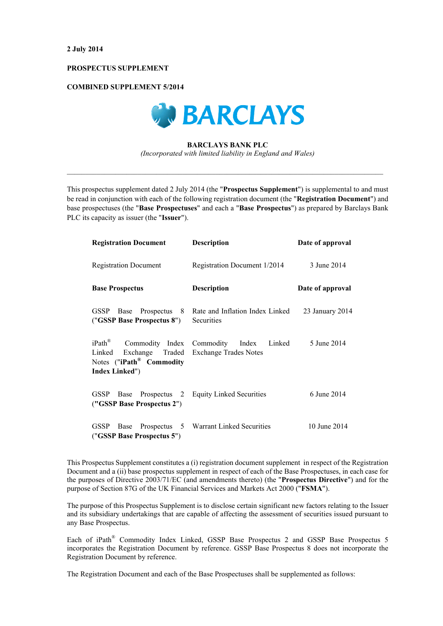# **PROSPECTUS SUPPLEMENT**

#### **COMBINED SUPPLEMENT 5/2014**



### **BARCLAYS BANK PLC**

*(Incorporated with limited liability in England and Wales)*

 $\_$  , and the state of the state of the state of the state of the state of the state of the state of the state of the state of the state of the state of the state of the state of the state of the state of the state of the

This prospectus supplement dated 2 July 2014 (the "**Prospectus Supplement**") is supplemental to and must be read in conjunction with each of the following registration document (the "**Registration Document**") and base prospectuses (the "**Base Prospectuses**" and each a "**Base Prospectus**") as prepared by Barclays Bank PLC its capacity as issuer (the "**Issuer**").

| <b>Registration Document</b>                                                                                                                                 | <b>Description</b>                            | Date of approval |
|--------------------------------------------------------------------------------------------------------------------------------------------------------------|-----------------------------------------------|------------------|
| <b>Registration Document</b>                                                                                                                                 | Registration Document 1/2014                  | 3 June 2014      |
| <b>Base Prospectus</b>                                                                                                                                       | <b>Description</b>                            | Date of approval |
| GSSP Base Prospectus 8<br>("GSSP Base Prospectus 8")                                                                                                         | Rate and Inflation Index Linked<br>Securities | 23 January 2014  |
| iPath <sup>®</sup> Commodity Index Commodity Index<br>Linked Exchange Traded Exchange Trades Notes<br>Notes ("iPath <sup>®</sup> Commodity<br>Index Linked") | Linked                                        | 5 June 2014      |
| GSSP Base Prospectus 2 Equity Linked Securities<br>("GSSP Base Prospectus 2")                                                                                |                                               | 6 June 2014      |
| <b>GSSP</b><br>("GSSP Base Prospectus 5")                                                                                                                    | Base Prospectus 5 Warrant Linked Securities   | 10 June 2014     |

This Prospectus Supplement constitutes a (i) registration document supplement in respect of the Registration Document and a (ii) base prospectus supplement in respect of each of the Base Prospectuses, in each case for the purposes of Directive 2003/71/EC (and amendments thereto) (the "**Prospectus Directive**") and for the purpose of Section 87G of the UK Financial Services and Markets Act 2000 ("**FSMA**").

The purpose of this Prospectus Supplement is to disclose certain significant new factors relating to the Issuer and its subsidiary undertakings that are capable of affecting the assessment of securities issued pursuant to any Base Prospectus.

Each of iPath® Commodity Index Linked, GSSP Base Prospectus 2 and GSSP Base Prospectus 5 incorporates the Registration Document by reference. GSSP Base Prospectus 8 does not incorporate the Registration Document by reference.

The Registration Document and each of the Base Prospectuses shall be supplemented as follows: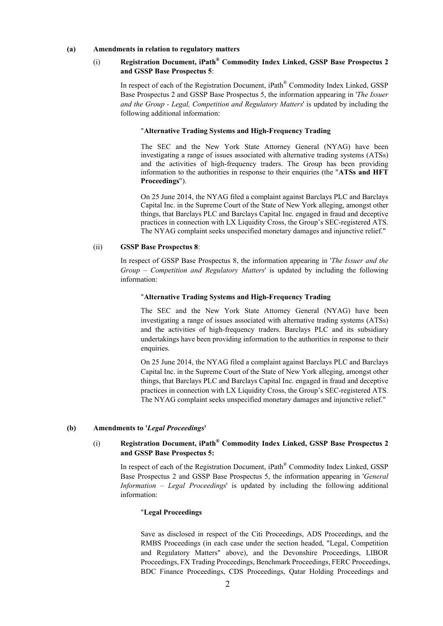### **(a) Amendments in relation to regulatory matters**

# (i) **Registration Document, iPath® Commodity Index Linked, GSSP Base Prospectus 2 and GSSP Base Prospectus 5**:

In respect of each of the Registration Document, iPath® Commodity Index Linked, GSSP Base Prospectus 2 and GSSP Base Prospectus 5, the information appearing in '*The Issuer and the Group - Legal, Competition and Regulatory Matters*' is updated by including the following additional information:

#### "**Alternative Trading Systems and High-Frequency Trading**

The SEC and the New York State Attorney General (NYAG) have been investigating a range of issues associated with alternative trading systems (ATSs) and the activities of high-frequency traders. The Group has been providing information to the authorities in response to their enquiries (the "**ATSs and HFT Proceedings**").

On 25 June 2014, the NYAG filed a complaint against Barclays PLC and Barclays Capital Inc. in the Supreme Court of the State of New York alleging, amongst other things, that Barclays PLC and Barclays Capital Inc. engaged in fraud and deceptive practices in connection with LX Liquidity Cross, the Group's SEC-registered ATS. The NYAG complaint seeks unspecified monetary damages and injunctive relief."

# (ii) **GSSP Base Prospectus 8**:

In respect of GSSP Base Prospectus 8, the information appearing in '*The Issuer and the Group* – *Competition and Regulatory Matters*' is updated by including the following information:

# "**Alternative Trading Systems and High-Frequency Trading**

The SEC and the New York State Attorney General (NYAG) have been investigating a range of issues associated with alternative trading systems (ATSs) and the activities of high-frequency traders. Barclays PLC and its subsidiary undertakings have been providing information to the authorities in response to their enquiries.

On 25 June 2014, the NYAG filed a complaint against Barclays PLC and Barclays Capital Inc. in the Supreme Court of the State of New York alleging, amongst other things, that Barclays PLC and Barclays Capital Inc. engaged in fraud and deceptive practices in connection with LX Liquidity Cross, the Group's SEC-registered ATS. The NYAG complaint seeks unspecified monetary damages and injunctive relief."

# **(b) Amendments to '***Legal Proceedings***'**

# (i) **Registration Document, iPath® Commodity Index Linked, GSSP Base Prospectus 2 and GSSP Base Prospectus 5:**

In respect of each of the Registration Document, iPath® Commodity Index Linked, GSSP Base Prospectus 2 and GSSP Base Prospectus 5, the information appearing in '*General Information* – *Legal Proceedings*' is updated by including the following additional information:

#### "**Legal Proceedings**

Save as disclosed in respect of the Citi Proceedings, ADS Proceedings, and the RMBS Proceedings (in each case under the section headed, "Legal, Competition and Regulatory Matters" above), and the Devonshire Proceedings, LIBOR Proceedings, FX Trading Proceedings, Benchmark Proceedings, FERC Proceedings, BDC Finance Proceedings, CDS Proceedings, Qatar Holding Proceedings and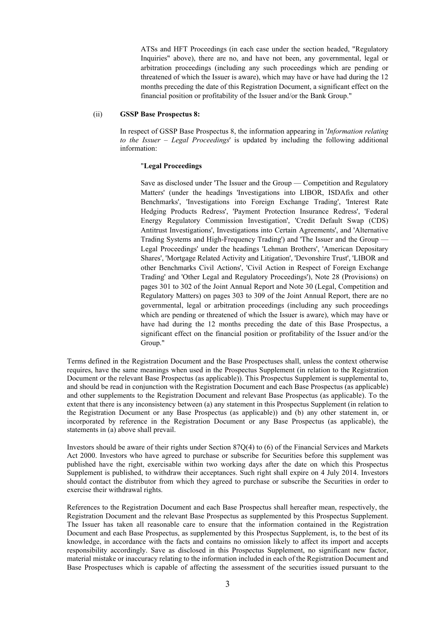ATSs and HFT Proceedings (in each case under the section headed, "Regulatory Inquiries" above), there are no, and have not been, any governmental, legal or arbitration proceedings (including any such proceedings which are pending or threatened of which the Issuer is aware), which may have or have had during the 12 months preceding the date of this Registration Document, a significant effect on the financial position or profitability of the Issuer and/or the Bank Group."

### (ii) **GSSP Base Prospectus 8:**

In respect of GSSP Base Prospectus 8, the information appearing in '*Information relating to the Issuer* – *Legal Proceedings*' is updated by including the following additional information:

## "**Legal Proceedings**

Save as disclosed under 'The Issuer and the Group — Competition and Regulatory Matters' (under the headings 'Investigations into LIBOR, ISDAfix and other Benchmarks', 'Investigations into Foreign Exchange Trading', 'Interest Rate Hedging Products Redress', 'Payment Protection Insurance Redress', 'Federal Energy Regulatory Commission Investigation', 'Credit Default Swap (CDS) Antitrust Investigations', Investigations into Certain Agreements', and 'Alternative Trading Systems and High-Frequency Trading') and 'The Issuer and the Group — Legal Proceedings' under the headings 'Lehman Brothers', 'American Depositary Shares', 'Mortgage Related Activity and Litigation', 'Devonshire Trust', 'LIBOR and other Benchmarks Civil Actions', 'Civil Action in Respect of Foreign Exchange Trading' and 'Other Legal and Regulatory Proceedings'), Note 28 (Provisions) on pages 301 to 302 of the Joint Annual Report and Note 30 (Legal, Competition and Regulatory Matters) on pages 303 to 309 of the Joint Annual Report, there are no governmental, legal or arbitration proceedings (including any such proceedings which are pending or threatened of which the Issuer is aware), which may have or have had during the 12 months preceding the date of this Base Prospectus, a significant effect on the financial position or profitability of the Issuer and/or the Group."

Terms defined in the Registration Document and the Base Prospectuses shall, unless the context otherwise requires, have the same meanings when used in the Prospectus Supplement (in relation to the Registration Document or the relevant Base Prospectus (as applicable)). This Prospectus Supplement is supplemental to, and should be read in conjunction with the Registration Document and each Base Prospectus (as applicable) and other supplements to the Registration Document and relevant Base Prospectus (as applicable). To the extent that there is any inconsistency between (a) any statement in this Prospectus Supplement (in relation to the Registration Document or any Base Prospectus (as applicable)) and (b) any other statement in, or incorporated by reference in the Registration Document or any Base Prospectus (as applicable), the statements in (a) above shall prevail.

Investors should be aware of their rights under Section 87Q(4) to (6) of the Financial Services and Markets Act 2000. Investors who have agreed to purchase or subscribe for Securities before this supplement was published have the right, exercisable within two working days after the date on which this Prospectus Supplement is published, to withdraw their acceptances. Such right shall expire on 4 July 2014. Investors should contact the distributor from which they agreed to purchase or subscribe the Securities in order to exercise their withdrawal rights.

References to the Registration Document and each Base Prospectus shall hereafter mean, respectively, the Registration Document and the relevant Base Prospectus as supplemented by this Prospectus Supplement. The Issuer has taken all reasonable care to ensure that the information contained in the Registration Document and each Base Prospectus, as supplemented by this Prospectus Supplement, is, to the best of its knowledge, in accordance with the facts and contains no omission likely to affect its import and accepts responsibility accordingly. Save as disclosed in this Prospectus Supplement, no significant new factor, material mistake or inaccuracy relating to the information included in each of the Registration Document and Base Prospectuses which is capable of affecting the assessment of the securities issued pursuant to the